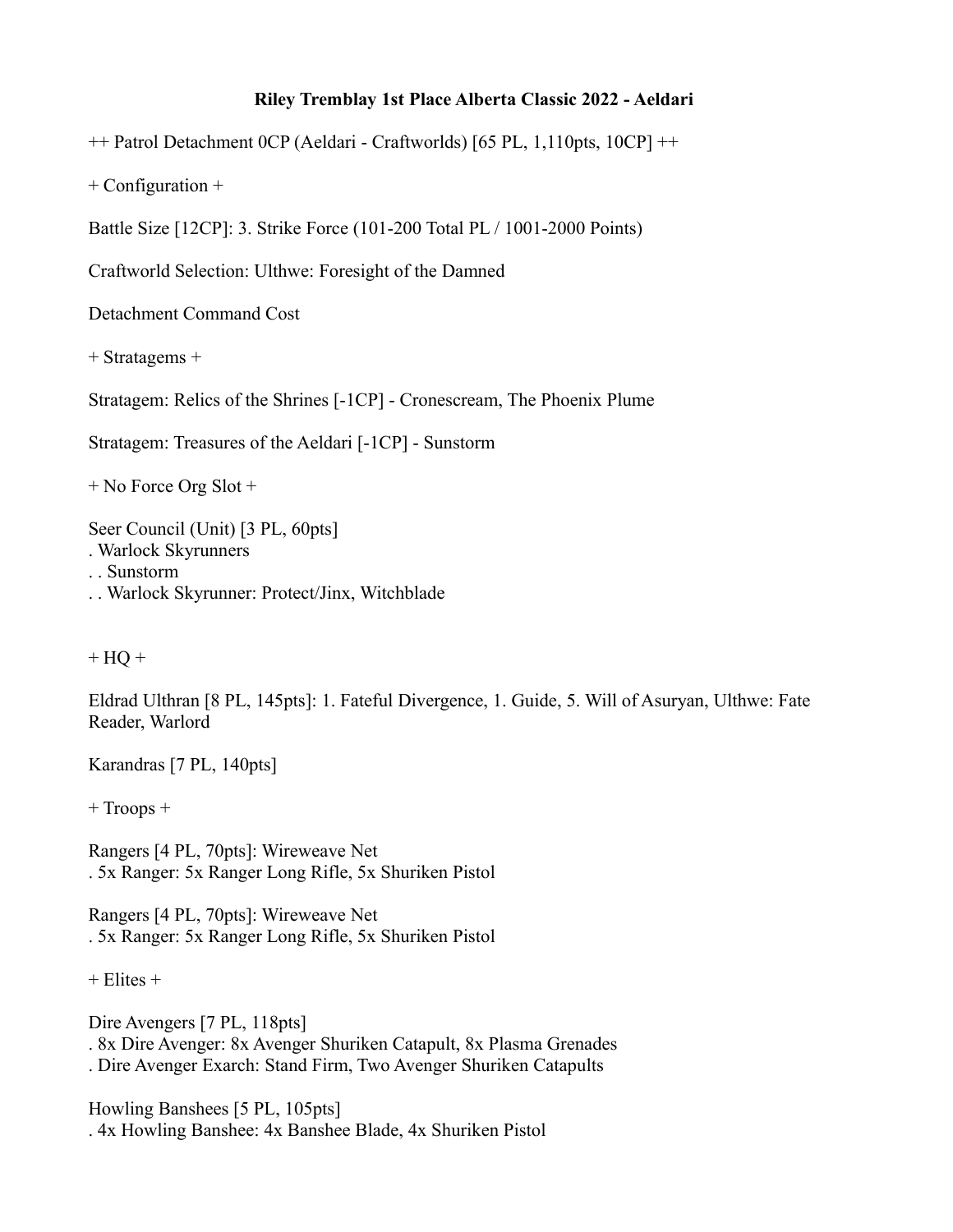## **Riley Tremblay 1st Place Alberta Classic 2022 - Aeldari**

++ Patrol Detachment 0CP (Aeldari - Craftworlds) [65 PL, 1,110pts, 10CP] ++

+ Configuration +

Battle Size [12CP]: 3. Strike Force (101-200 Total PL / 1001-2000 Points)

Craftworld Selection: Ulthwe: Foresight of the Damned

Detachment Command Cost

+ Stratagems +

Stratagem: Relics of the Shrines [-1CP] - Cronescream, The Phoenix Plume

Stratagem: Treasures of the Aeldari [-1CP] - Sunstorm

+ No Force Org Slot +

Seer Council (Unit) [3 PL, 60pts]

- . Warlock Skyrunners
- . . Sunstorm
- . . Warlock Skyrunner: Protect/Jinx, Witchblade

 $+$  HQ  $+$ 

Eldrad Ulthran [8 PL, 145pts]: 1. Fateful Divergence, 1. Guide, 5. Will of Asuryan, Ulthwe: Fate Reader, Warlord

Karandras [7 PL, 140pts]

+ Troops +

Rangers [4 PL, 70pts]: Wireweave Net . 5x Ranger: 5x Ranger Long Rifle, 5x Shuriken Pistol

Rangers [4 PL, 70pts]: Wireweave Net . 5x Ranger: 5x Ranger Long Rifle, 5x Shuriken Pistol

 $+$  Elites  $+$ 

Dire Avengers [7 PL, 118pts] . 8x Dire Avenger: 8x Avenger Shuriken Catapult, 8x Plasma Grenades . Dire Avenger Exarch: Stand Firm, Two Avenger Shuriken Catapults

Howling Banshees [5 PL, 105pts] . 4x Howling Banshee: 4x Banshee Blade, 4x Shuriken Pistol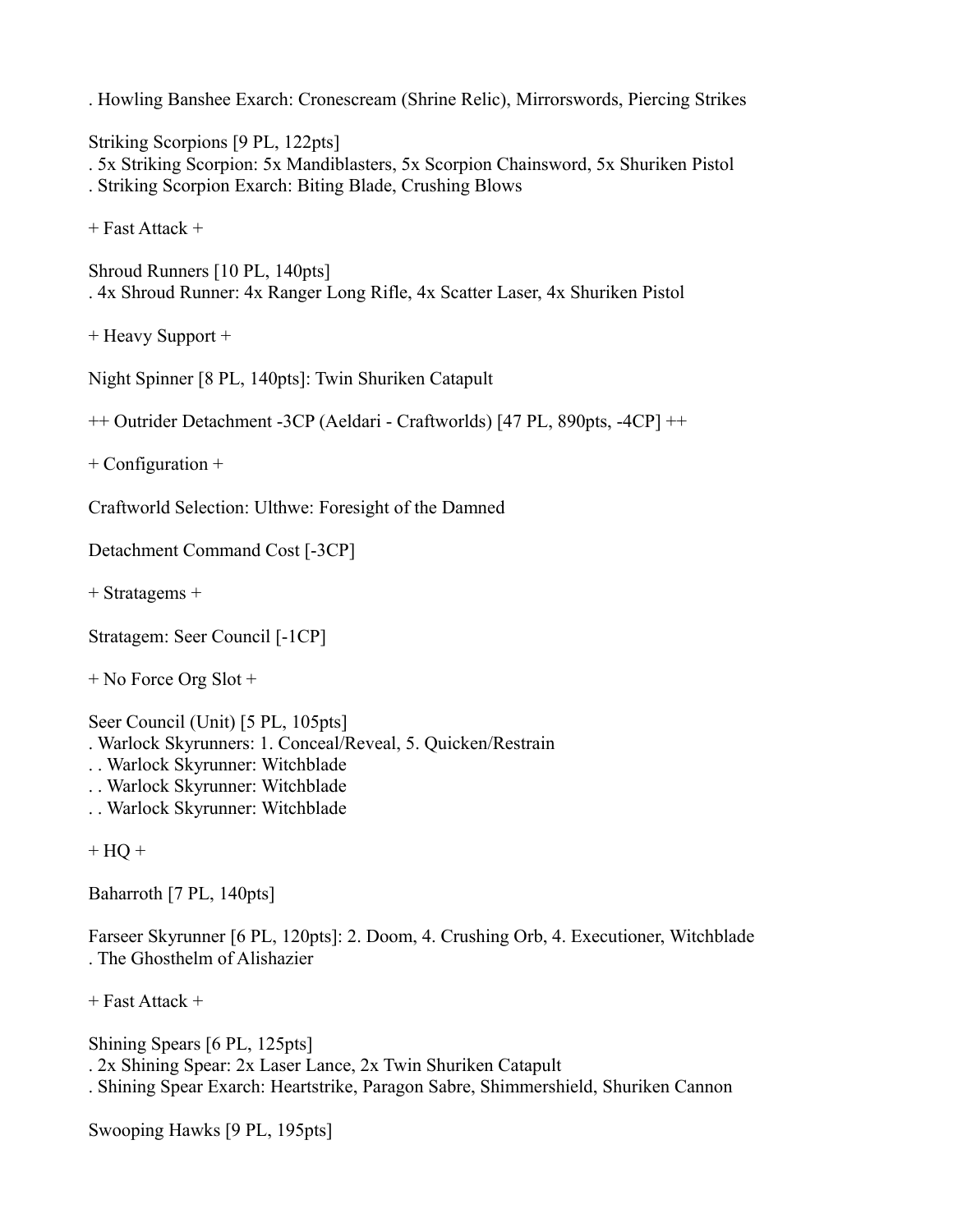. Howling Banshee Exarch: Cronescream (Shrine Relic), Mirrorswords, Piercing Strikes

Striking Scorpions [9 PL, 122pts]

. 5x Striking Scorpion: 5x Mandiblasters, 5x Scorpion Chainsword, 5x Shuriken Pistol

. Striking Scorpion Exarch: Biting Blade, Crushing Blows

+ Fast Attack +

```
Shroud Runners [10 PL, 140pts]
. 4x Shroud Runner: 4x Ranger Long Rifle, 4x Scatter Laser, 4x Shuriken Pistol
```
+ Heavy Support +

Night Spinner [8 PL, 140pts]: Twin Shuriken Catapult

++ Outrider Detachment -3CP (Aeldari - Craftworlds) [47 PL, 890pts, -4CP] ++

+ Configuration +

Craftworld Selection: Ulthwe: Foresight of the Damned

Detachment Command Cost [-3CP]

+ Stratagems +

Stratagem: Seer Council [-1CP]

+ No Force Org Slot +

Seer Council (Unit) [5 PL, 105pts]

. Warlock Skyrunners: 1. Conceal/Reveal, 5. Quicken/Restrain

- . . Warlock Skyrunner: Witchblade
- . . Warlock Skyrunner: Witchblade
- . . Warlock Skyrunner: Witchblade

 $+$  HQ  $+$ 

Baharroth [7 PL, 140pts]

Farseer Skyrunner [6 PL, 120pts]: 2. Doom, 4. Crushing Orb, 4. Executioner, Witchblade . The Ghosthelm of Alishazier

+ Fast Attack +

Shining Spears [6 PL, 125pts] . 2x Shining Spear: 2x Laser Lance, 2x Twin Shuriken Catapult . Shining Spear Exarch: Heartstrike, Paragon Sabre, Shimmershield, Shuriken Cannon

Swooping Hawks [9 PL, 195pts]